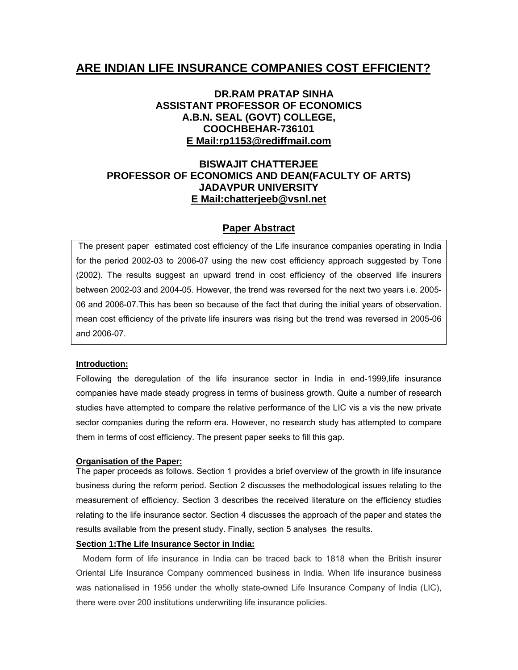# **ARE INDIAN LIFE INSURANCE COMPANIES COST EFFICIENT?**

# **DR.RAM PRATAP SINHA ASSISTANT PROFESSOR OF ECONOMICS A.B.N. SEAL (GOVT) COLLEGE, COOCHBEHAR-736101 E Mail:rp1153@rediffmail.com**

# **BISWAJIT CHATTERJEE PROFESSOR OF ECONOMICS AND DEAN(FACULTY OF ARTS) JADAVPUR UNIVERSITY E Mail:chatterjeeb@vsnl.net**

## **Paper Abstract**

 The present paper estimated cost efficiency of the Life insurance companies operating in India for the period 2002-03 to 2006-07 using the new cost efficiency approach suggested by Tone (2002). The results suggest an upward trend in cost efficiency of the observed life insurers between 2002-03 and 2004-05. However, the trend was reversed for the next two years i.e. 2005- 06 and 2006-07.This has been so because of the fact that during the initial years of observation. mean cost efficiency of the private life insurers was rising but the trend was reversed in 2005-06 and 2006-07.

### **Introduction:**

Following the deregulation of the life insurance sector in India in end-1999,life insurance companies have made steady progress in terms of business growth. Quite a number of research studies have attempted to compare the relative performance of the LIC vis a vis the new private sector companies during the reform era. However, no research study has attempted to compare them in terms of cost efficiency. The present paper seeks to fill this gap.

### **Organisation of the Paper:**

The paper proceeds as follows. Section 1 provides a brief overview of the growth in life insurance business during the reform period. Section 2 discusses the methodological issues relating to the measurement of efficiency. Section 3 describes the received literature on the efficiency studies relating to the life insurance sector. Section 4 discusses the approach of the paper and states the results available from the present study. Finally, section 5 analyses the results.

## **Section 1:The Life Insurance Sector in India:**

 Modern form of life insurance in India can be traced back to 1818 when the British insurer Oriental Life Insurance Company commenced business in India. When life insurance business was nationalised in 1956 under the wholly state-owned Life Insurance Company of India (LIC), there were over 200 institutions underwriting life insurance policies.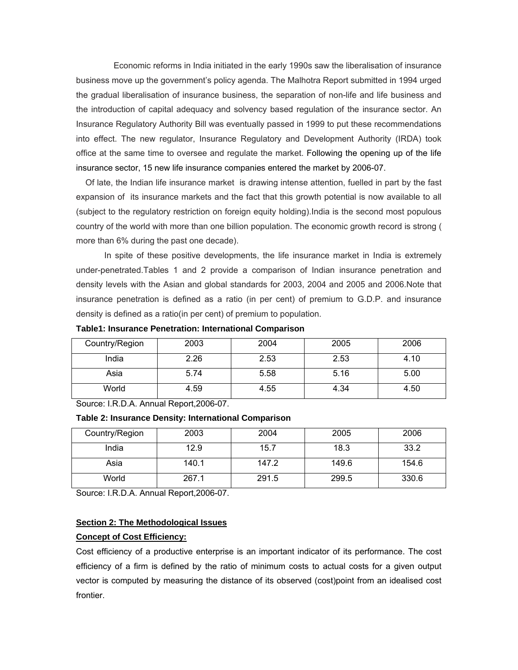Economic reforms in India initiated in the early 1990s saw the liberalisation of insurance business move up the government's policy agenda. The Malhotra Report submitted in 1994 urged the gradual liberalisation of insurance business, the separation of non-life and life business and the introduction of capital adequacy and solvency based regulation of the insurance sector. An Insurance Regulatory Authority Bill was eventually passed in 1999 to put these recommendations into effect. The new regulator, Insurance Regulatory and Development Authority (IRDA) took office at the same time to oversee and regulate the market. Following the opening up of the life insurance sector, 15 new life insurance companies entered the market by 2006-07.

 Of late, the Indian life insurance market is drawing intense attention, fuelled in part by the fast expansion of its insurance markets and the fact that this growth potential is now available to all (subject to the regulatory restriction on foreign equity holding).India is the second most populous country of the world with more than one billion population. The economic growth record is strong ( more than 6% during the past one decade).

 In spite of these positive developments, the life insurance market in India is extremely under-penetrated.Tables 1 and 2 provide a comparison of Indian insurance penetration and density levels with the Asian and global standards for 2003, 2004 and 2005 and 2006.Note that insurance penetration is defined as a ratio (in per cent) of premium to G.D.P. and insurance density is defined as a ratio(in per cent) of premium to population.

| Country/Region | 2003 | 2004 | 2005 | 2006 |
|----------------|------|------|------|------|
| India          | 2.26 | 2.53 | 2.53 | 4.10 |
| Asia           | 5.74 | 5.58 | 5.16 | 5.00 |
| World          | 4.59 | 4.55 | 4.34 | 4.50 |

**Table1: Insurance Penetration: International Comparison** 

Source: I.R.D.A. Annual Report,2006-07.

## **Table 2: Insurance Density: International Comparison**

| Country/Region | 2003  | 2004  | 2005  | 2006  |
|----------------|-------|-------|-------|-------|
| India          | 12.9  | 15.7  | 18.3  | 33.2  |
| Asia           | 140.1 | 147.2 | 149.6 | 154.6 |
| World          | 267.1 | 291.5 | 299.5 | 330.6 |

Source: I.R.D.A. Annual Report,2006-07.

#### **Section 2: The Methodological Issues**

#### **Concept of Cost Efficiency:**

Cost efficiency of a productive enterprise is an important indicator of its performance. The cost efficiency of a firm is defined by the ratio of minimum costs to actual costs for a given output vector is computed by measuring the distance of its observed (cost)point from an idealised cost frontier.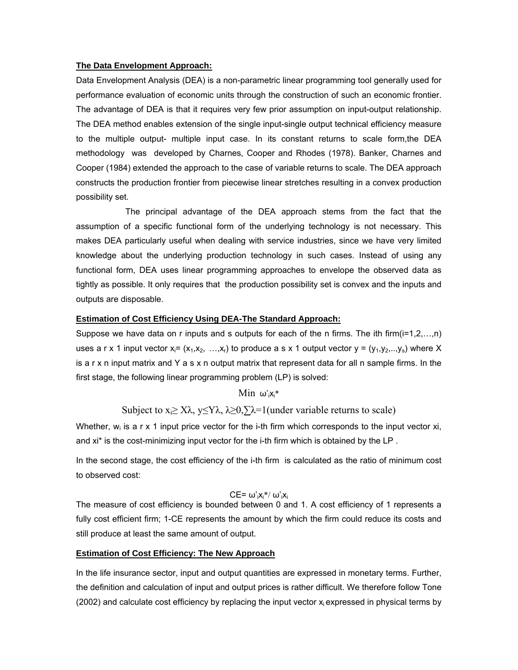#### **The Data Envelopment Approach:**

Data Envelopment Analysis (DEA) is a non-parametric linear programming tool generally used for performance evaluation of economic units through the construction of such an economic frontier. The advantage of DEA is that it requires very few prior assumption on input-output relationship. The DEA method enables extension of the single input-single output technical efficiency measure to the multiple output- multiple input case. In its constant returns to scale form,the DEA methodology was developed by Charnes, Cooper and Rhodes (1978). Banker, Charnes and Cooper (1984) extended the approach to the case of variable returns to scale. The DEA approach constructs the production frontier from piecewise linear stretches resulting in a convex production possibility set.

 The principal advantage of the DEA approach stems from the fact that the assumption of a specific functional form of the underlying technology is not necessary. This makes DEA particularly useful when dealing with service industries, since we have very limited knowledge about the underlying production technology in such cases. Instead of using any functional form, DEA uses linear programming approaches to envelope the observed data as tightly as possible. It only requires that the production possibility set is convex and the inputs and outputs are disposable.

## **Estimation of Cost Efficiency Using DEA-The Standard Approach:**

Suppose we have data on r inputs and s outputs for each of the n firms. The ith firm( $i=1,2,...,n$ ) uses a r x 1 input vector  $x_i = (x_1, x_2, ..., x_r)$  to produce a s x 1 output vector  $y = (y_1, y_2, ..., y_s)$  where X is a r x n input matrix and Y a s x n output matrix that represent data for all n sample firms. In the first stage, the following linear programming problem (LP) is solved:

## Min  $\omega_i$ <sub>x<sup>\*</sup></sub>

Subject to  $x \geq X\lambda$ ,  $y \leq Y\lambda$ ,  $\lambda \geq 0$ ,  $\sum \lambda = 1$  (under variable returns to scale)

Whether,  $w_i$  is a r x 1 input price vector for the i-th firm which corresponds to the input vector xi, and xi<sup>\*</sup> is the cost-minimizing input vector for the i-th firm which is obtained by the LP.

In the second stage, the cost efficiency of the i-th firm is calculated as the ratio of minimum cost to observed cost:

#### $CE = ω'_{i}x_{i}^{*}/ ω'_{i}x_{i}$

The measure of cost efficiency is bounded between 0 and 1. A cost efficiency of 1 represents a fully cost efficient firm; 1-CE represents the amount by which the firm could reduce its costs and still produce at least the same amount of output.

#### **Estimation of Cost Efficiency: The New Approach**

In the life insurance sector, input and output quantities are expressed in monetary terms. Further, the definition and calculation of input and output prices is rather difficult. We therefore follow Tone  $(2002)$  and calculate cost efficiency by replacing the input vector  $x_i$  expressed in physical terms by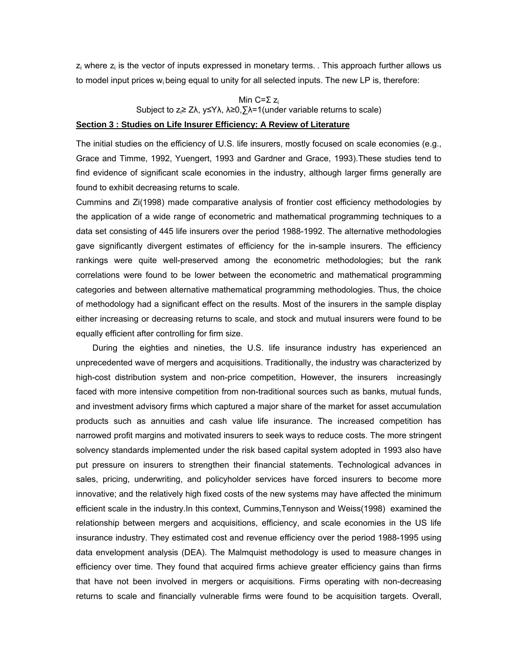$z_i$  where  $z_i$  is the vector of inputs expressed in monetary terms. . This approach further allows us to model input prices  $w_i$  being equal to unity for all selected inputs. The new LP is, therefore:

## Min C=Σ zi Subject to z<sub>i</sub>≥ Zλ, y≤Yλ, λ≥0,∑λ=1(under variable returns to scale)

## **Section 3 : Studies on Life Insurer Efficiency: A Review of Literature**

The initial studies on the efficiency of U.S. life insurers, mostly focused on scale economies (e.g., Grace and Timme, 1992, Yuengert, 1993 and Gardner and Grace, 1993).These studies tend to find evidence of significant scale economies in the industry, although larger firms generally are found to exhibit decreasing returns to scale.

Cummins and Zi(1998) made comparative analysis of frontier cost efficiency methodologies by the application of a wide range of econometric and mathematical programming techniques to a data set consisting of 445 life insurers over the period 1988-1992. The alternative methodologies gave significantly divergent estimates of efficiency for the in-sample insurers. The efficiency rankings were quite well-preserved among the econometric methodologies; but the rank correlations were found to be lower between the econometric and mathematical programming categories and between alternative mathematical programming methodologies. Thus, the choice of methodology had a significant effect on the results. Most of the insurers in the sample display either increasing or decreasing returns to scale, and stock and mutual insurers were found to be equally efficient after controlling for firm size.

 During the eighties and nineties, the U.S. life insurance industry has experienced an unprecedented wave of mergers and acquisitions. Traditionally, the industry was characterized by high-cost distribution system and non-price competition, However, the insurers increasingly faced with more intensive competition from non-traditional sources such as banks, mutual funds, and investment advisory firms which captured a major share of the market for asset accumulation products such as annuities and cash value life insurance. The increased competition has narrowed profit margins and motivated insurers to seek ways to reduce costs. The more stringent solvency standards implemented under the risk based capital system adopted in 1993 also have put pressure on insurers to strengthen their financial statements. Technological advances in sales, pricing, underwriting, and policyholder services have forced insurers to become more innovative; and the relatively high fixed costs of the new systems may have affected the minimum efficient scale in the industry.In this context, Cummins,Tennyson and Weiss(1998) examined the relationship between mergers and acquisitions, efficiency, and scale economies in the US life insurance industry. They estimated cost and revenue efficiency over the period 1988-1995 using data envelopment analysis (DEA). The Malmquist methodology is used to measure changes in efficiency over time. They found that acquired firms achieve greater efficiency gains than firms that have not been involved in mergers or acquisitions. Firms operating with non-decreasing returns to scale and financially vulnerable firms were found to be acquisition targets. Overall,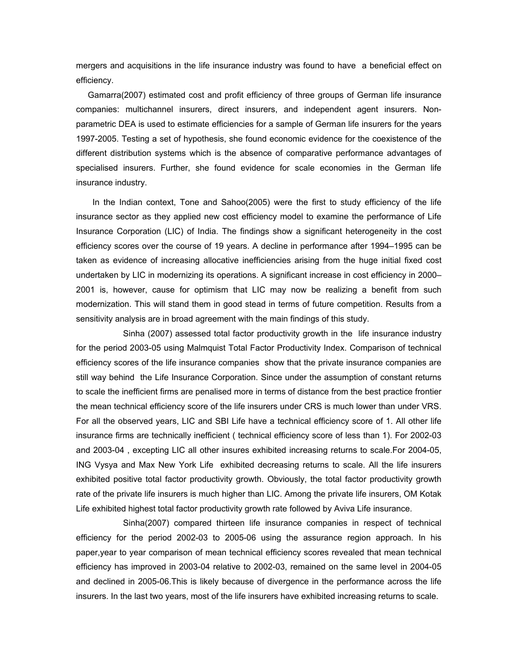mergers and acquisitions in the life insurance industry was found to have a beneficial effect on efficiency.

 Gamarra(2007) estimated cost and profit efficiency of three groups of German life insurance companies: multichannel insurers, direct insurers, and independent agent insurers. Nonparametric DEA is used to estimate efficiencies for a sample of German life insurers for the years 1997-2005. Testing a set of hypothesis, she found economic evidence for the coexistence of the different distribution systems which is the absence of comparative performance advantages of specialised insurers. Further, she found evidence for scale economies in the German life insurance industry.

 In the Indian context, Tone and Sahoo(2005) were the first to study efficiency of the life insurance sector as they applied new cost efficiency model to examine the performance of Life Insurance Corporation (LIC) of India. The findings show a significant heterogeneity in the cost efficiency scores over the course of 19 years. A decline in performance after 1994–1995 can be taken as evidence of increasing allocative inefficiencies arising from the huge initial fixed cost undertaken by LIC in modernizing its operations. A significant increase in cost efficiency in 2000– 2001 is, however, cause for optimism that LIC may now be realizing a benefit from such modernization. This will stand them in good stead in terms of future competition. Results from a sensitivity analysis are in broad agreement with the main findings of this study.

 Sinha (2007) assessed total factor productivity growth in the life insurance industry for the period 2003-05 using Malmquist Total Factor Productivity Index. Comparison of technical efficiency scores of the life insurance companies show that the private insurance companies are still way behind the Life Insurance Corporation. Since under the assumption of constant returns to scale the inefficient firms are penalised more in terms of distance from the best practice frontier the mean technical efficiency score of the life insurers under CRS is much lower than under VRS. For all the observed years, LIC and SBI Life have a technical efficiency score of 1. All other life insurance firms are technically inefficient ( technical efficiency score of less than 1). For 2002-03 and 2003-04 , excepting LIC all other insures exhibited increasing returns to scale.For 2004-05, ING Vysya and Max New York Life exhibited decreasing returns to scale. All the life insurers exhibited positive total factor productivity growth. Obviously, the total factor productivity growth rate of the private life insurers is much higher than LIC. Among the private life insurers, OM Kotak Life exhibited highest total factor productivity growth rate followed by Aviva Life insurance.

 Sinha(2007) compared thirteen life insurance companies in respect of technical efficiency for the period 2002-03 to 2005-06 using the assurance region approach. In his paper,year to year comparison of mean technical efficiency scores revealed that mean technical efficiency has improved in 2003-04 relative to 2002-03, remained on the same level in 2004-05 and declined in 2005-06.This is likely because of divergence in the performance across the life insurers. In the last two years, most of the life insurers have exhibited increasing returns to scale.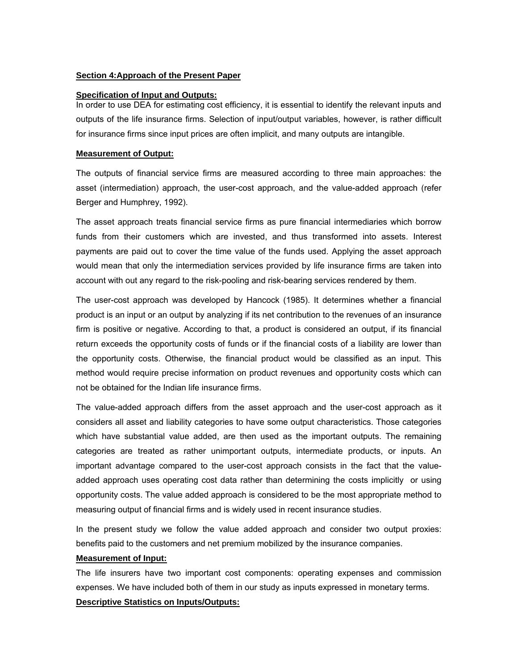## **Section 4:Approach of the Present Paper**

#### **Specification of Input and Outputs:**

In order to use DEA for estimating cost efficiency, it is essential to identify the relevant inputs and outputs of the life insurance firms. Selection of input/output variables, however, is rather difficult for insurance firms since input prices are often implicit, and many outputs are intangible.

## **Measurement of Output:**

The outputs of financial service firms are measured according to three main approaches: the asset (intermediation) approach, the user-cost approach, and the value-added approach (refer Berger and Humphrey, 1992).

The asset approach treats financial service firms as pure financial intermediaries which borrow funds from their customers which are invested, and thus transformed into assets. Interest payments are paid out to cover the time value of the funds used. Applying the asset approach would mean that only the intermediation services provided by life insurance firms are taken into account with out any regard to the risk-pooling and risk-bearing services rendered by them.

The user-cost approach was developed by Hancock (1985). It determines whether a financial product is an input or an output by analyzing if its net contribution to the revenues of an insurance firm is positive or negative. According to that, a product is considered an output, if its financial return exceeds the opportunity costs of funds or if the financial costs of a liability are lower than the opportunity costs. Otherwise, the financial product would be classified as an input. This method would require precise information on product revenues and opportunity costs which can not be obtained for the Indian life insurance firms.

The value-added approach differs from the asset approach and the user-cost approach as it considers all asset and liability categories to have some output characteristics. Those categories which have substantial value added, are then used as the important outputs. The remaining categories are treated as rather unimportant outputs, intermediate products, or inputs. An important advantage compared to the user-cost approach consists in the fact that the valueadded approach uses operating cost data rather than determining the costs implicitly or using opportunity costs. The value added approach is considered to be the most appropriate method to measuring output of financial firms and is widely used in recent insurance studies.

In the present study we follow the value added approach and consider two output proxies: benefits paid to the customers and net premium mobilized by the insurance companies.

## **Measurement of Input:**

The life insurers have two important cost components: operating expenses and commission expenses. We have included both of them in our study as inputs expressed in monetary terms.

### **Descriptive Statistics on Inputs/Outputs:**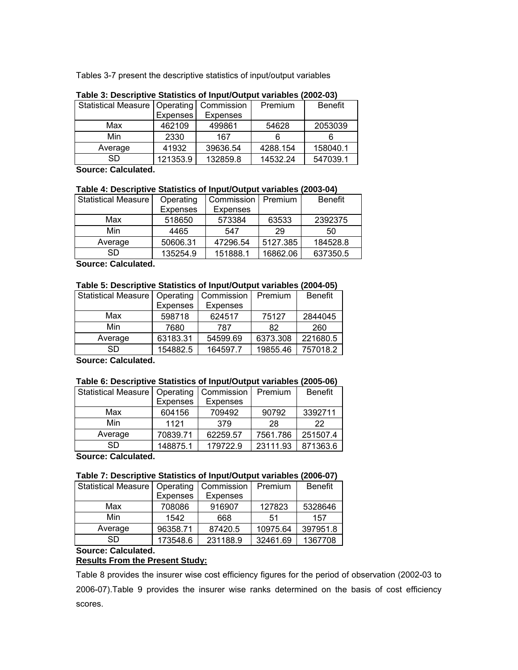Tables 3-7 present the descriptive statistics of input/output variables

| <b>Statistical Measure</b> | Operating       | Commission      | Premium  | <b>Benefit</b> |
|----------------------------|-----------------|-----------------|----------|----------------|
|                            | <b>Expenses</b> | <b>Expenses</b> |          |                |
| Max                        | 462109          | 499861          | 54628    | 2053039        |
| Min                        | 2330            | 167             |          |                |
| Average                    | 41932           | 39636.54        | 4288.154 | 158040.1       |
| SD                         | 121353.9        | 132859.8        | 14532.24 | 547039.1       |
|                            |                 |                 |          |                |

**Table 3: Descriptive Statistics of Input/Output variables (2002-03)** 

**Source: Calculated.** 

#### **Table 4: Descriptive Statistics of Input/Output variables (2003-04)**

| <b>Statistical Measure</b> | Operating | Commission      | Premium  | <b>Benefit</b> |
|----------------------------|-----------|-----------------|----------|----------------|
|                            | Expenses  | <b>Expenses</b> |          |                |
| Max                        | 518650    | 573384          | 63533    | 2392375        |
| Min                        | 4465      | 547             | 29       | 50             |
| Average                    | 50606.31  | 47296.54        | 5127.385 | 184528.8       |
| SD                         | 135254.9  | 151888.1        | 16862.06 | 637350.5       |

**Source: Calculated.** 

## **Table 5: Descriptive Statistics of Input/Output variables (2004-05)**

| Statistical Measure | Operating | Commission      | Premium  | <b>Benefit</b> |
|---------------------|-----------|-----------------|----------|----------------|
|                     | Expenses  | <b>Expenses</b> |          |                |
| Max                 | 598718    | 624517          | 75127    | 2844045        |
| Min                 | 7680      | 787             | 82       | 260            |
| Average             | 63183.31  | 54599.69        | 6373.308 | 221680.5       |
| SD                  | 154882.5  | 164597.7        | 19855.46 | 757018.2       |

**Source: Calculated.** 

## **Table 6: Descriptive Statistics of Input/Output variables (2005-06)**

| <b>Statistical Measure</b> | Operating | Commission      | Premium  | <b>Benefit</b> |
|----------------------------|-----------|-----------------|----------|----------------|
|                            | Expenses  | <b>Expenses</b> |          |                |
| Max                        | 604156    | 709492          | 90792    | 3392711        |
| Min                        | 1121      | 379             | 28       | 22             |
| Average                    | 70839.71  | 62259.57        | 7561.786 | 251507.4       |
| SD                         | 148875.1  | 179722.9        | 23111.93 | 871363.6       |

**Source: Calculated.** 

## **Table 7: Descriptive Statistics of Input/Output variables (2006-07)**

| Statistical Measure | Operating | Commission | Premium  | <b>Benefit</b> |
|---------------------|-----------|------------|----------|----------------|
|                     | Expenses  | Expenses   |          |                |
| Max                 | 708086    | 916907     | 127823   | 5328646        |
| Min                 | 1542      | 668        | 51       | 157            |
| Average             | 96358.71  | 87420.5    | 10975.64 | 397951.8       |
| SD                  | 173548.6  | 231188.9   | 32461.69 | 1367708        |

## **Source: Calculated.**

## **Results From the Present Study:**

Table 8 provides the insurer wise cost efficiency figures for the period of observation (2002-03 to 2006-07).Table 9 provides the insurer wise ranks determined on the basis of cost efficiency scores.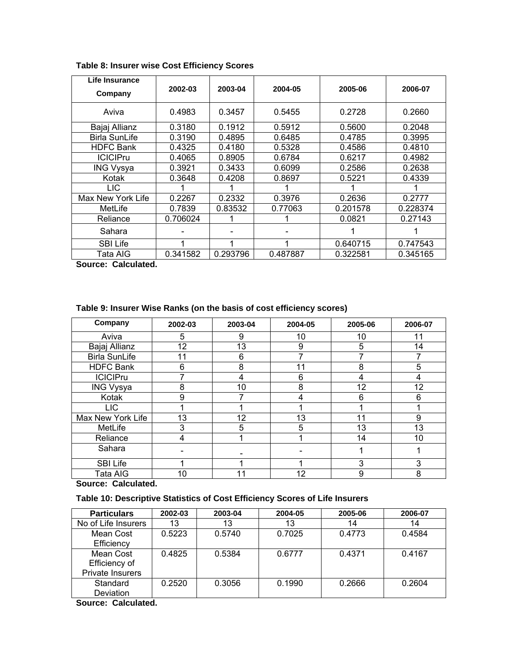| Life Insurance<br>Company | 2002-03  | 2003-04  | 2004-05  | 2005-06  | 2006-07  |
|---------------------------|----------|----------|----------|----------|----------|
| Aviva                     | 0.4983   | 0.3457   | 0.5455   | 0.2728   | 0.2660   |
| Bajaj Allianz             | 0.3180   | 0.1912   | 0.5912   | 0.5600   | 0.2048   |
| <b>Birla SunLife</b>      | 0.3190   | 0.4895   | 0.6485   | 0.4785   | 0.3995   |
| <b>HDFC Bank</b>          | 0.4325   | 0.4180   | 0.5328   | 0.4586   | 0.4810   |
| <b>ICICIPru</b>           | 0.4065   | 0.8905   | 0.6784   | 0.6217   | 0.4982   |
| <b>ING Vysya</b>          | 0.3921   | 0.3433   | 0.6099   | 0.2586   | 0.2638   |
| Kotak                     | 0.3648   | 0.4208   | 0.8697   | 0.5221   | 0.4339   |
| LIC                       |          |          |          |          |          |
| Max New York Life         | 0.2267   | 0.2332   | 0.3976   | 0.2636   | 0.2777   |
| MetLife                   | 0.7839   | 0.83532  | 0.77063  | 0.201578 | 0.228374 |
| Reliance                  | 0.706024 |          |          | 0.0821   | 0.27143  |
| Sahara                    |          |          |          |          |          |
| <b>SBI Life</b>           |          |          |          | 0.640715 | 0.747543 |
| Tata AIG                  | 0.341582 | 0.293796 | 0.487887 | 0.322581 | 0.345165 |

## **Table 8: Insurer wise Cost Efficiency Scores**

**Source: Calculated.** 

# **Table 9: Insurer Wise Ranks (on the basis of cost efficiency scores)**

| Company              | 2002-03 | 2003-04 | 2004-05 | 2005-06 | 2006-07 |
|----------------------|---------|---------|---------|---------|---------|
| Aviva                | 5       | 9       | 10      | 10      | 11      |
| Bajaj Allianz        | 12      | 13      | 9       | 5       | 14      |
| <b>Birla SunLife</b> | 11      | 6       |         |         |         |
| <b>HDFC Bank</b>     | 6       | 8       | 11      | 8       | 5       |
| <b>ICICIPru</b>      | 7       | 4       | 6       | 4       | 4       |
| <b>ING Vysya</b>     | 8       | 10      | 8       | 12      | 12      |
| Kotak                | 9       |         | 4       | 6       | 6       |
| <b>LIC</b>           |         |         |         |         |         |
| Max New York Life    | 13      | 12      | 13      | 11      | 9       |
| MetLife              | 3       | 5       | 5       | 13      | 13      |
| Reliance             | 4       |         |         | 14      | 10      |
| Sahara               |         |         |         |         |         |
| <b>SBI Life</b>      |         |         |         | 3       | 3       |
| <b>Tata AIG</b>      | 10      |         | 12      | 9       | 8       |

**Source: Calculated.** 

## **Table 10: Descriptive Statistics of Cost Efficiency Scores of Life Insurers**

| <b>Particulars</b>                             | 2002-03 | 2003-04 | 2004-05 | 2005-06 | 2006-07 |
|------------------------------------------------|---------|---------|---------|---------|---------|
| No of Life Insurers                            | 13      | 13      | 13      | 14      | 14      |
| Mean Cost<br>Efficiency                        | 0.5223  | 0.5740  | 0.7025  | 0.4773  | 0.4584  |
| Mean Cost<br>Efficiency of<br>Private Insurers | 0.4825  | 0.5384  | 0.6777  | 0.4371  | 0.4167  |
| Standard<br>Deviation                          | 0.2520  | 0.3056  | 0.1990  | 0.2666  | 0.2604  |

**Source: Calculated.**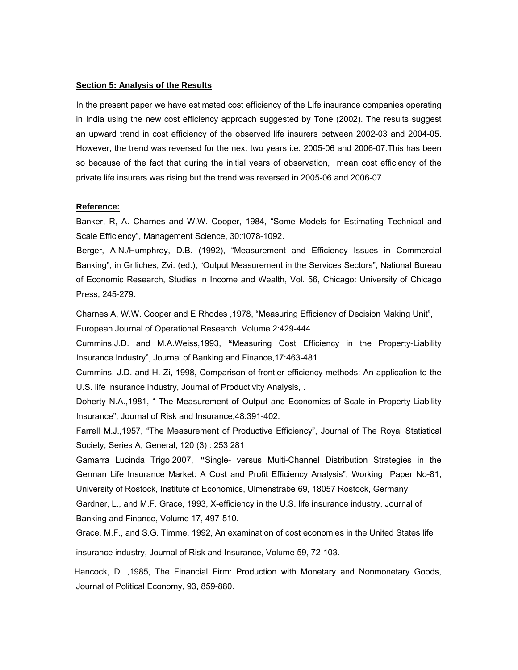#### **Section 5: Analysis of the Results**

In the present paper we have estimated cost efficiency of the Life insurance companies operating in India using the new cost efficiency approach suggested by Tone (2002). The results suggest an upward trend in cost efficiency of the observed life insurers between 2002-03 and 2004-05. However, the trend was reversed for the next two years i.e. 2005-06 and 2006-07.This has been so because of the fact that during the initial years of observation, mean cost efficiency of the private life insurers was rising but the trend was reversed in 2005-06 and 2006-07.

#### **Reference:**

Banker, R, A. Charnes and W.W. Cooper, 1984, "Some Models for Estimating Technical and Scale Efficiency", Management Science, 30:1078-1092.

 Berger, A.N./Humphrey, D.B. (1992), "Measurement and Efficiency Issues in Commercial Banking", in Griliches, Zvi. (ed.), "Output Measurement in the Services Sectors", National Bureau of Economic Research, Studies in Income and Wealth, Vol. 56, Chicago: University of Chicago Press, 245-279.

Charnes A, W.W. Cooper and E Rhodes ,1978, "Measuring Efficiency of Decision Making Unit", European Journal of Operational Research, Volume 2:429-444.

Cummins,J.D. and M.A.Weiss,1993, **"**Measuring Cost Efficiency in the Property-Liability Insurance Industry", Journal of Banking and Finance,17:463-481.

Cummins, J.D. and H. Zi, 1998, Comparison of frontier efficiency methods: An application to the U.S. life insurance industry, Journal of Productivity Analysis, .

Doherty N.A.,1981, " The Measurement of Output and Economies of Scale in Property-Liability Insurance", Journal of Risk and Insurance,48:391-402.

Farrell M.J.,1957, "The Measurement of Productive Efficiency", Journal of The Royal Statistical Society, Series A, General, 120 (3) : 253 281

Gamarra Lucinda Trigo,2007, **"**Single- versus Multi-Channel Distribution Strategies in the German Life Insurance Market: A Cost and Profit Efficiency Analysis", Working Paper No-81, University of Rostock, Institute of Economics, Ulmenstrabe 69, 18057 Rostock, Germany Gardner, L., and M.F. Grace, 1993, X-efficiency in the U.S. life insurance industry, Journal of Banking and Finance, Volume 17, 497-510.

Grace, M.F., and S.G. Timme, 1992, An examination of cost economies in the United States life insurance industry, Journal of Risk and Insurance, Volume 59, 72-103.

 Hancock, D. ,1985, The Financial Firm: Production with Monetary and Nonmonetary Goods, Journal of Political Economy, 93, 859-880.